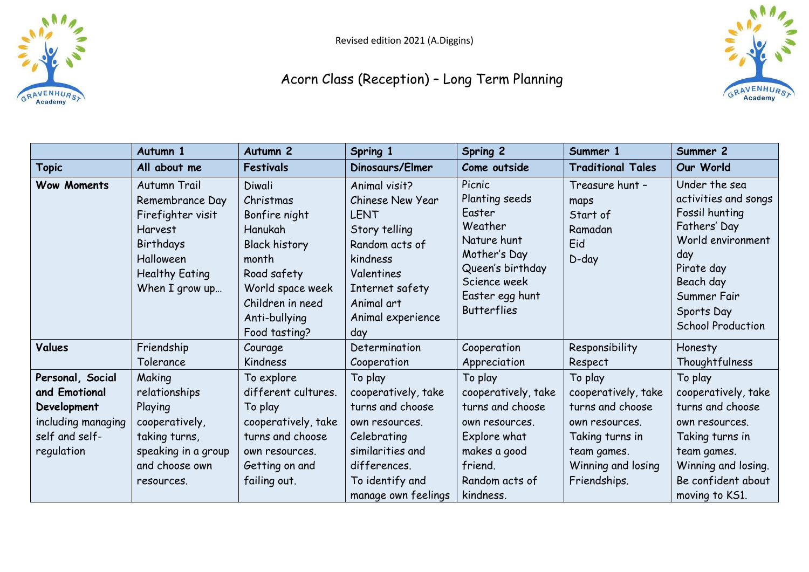



|                                                                                                        | Autumn 1                                                                                                                                    | Autumn <sub>2</sub>                                                                                                                                                       | Spring 1                                                                                                                                                                          | Spring 2                                                                                                                                                  | Summer 1                                                                                                                                     | Summer 2                                                                                                                                                                                |
|--------------------------------------------------------------------------------------------------------|---------------------------------------------------------------------------------------------------------------------------------------------|---------------------------------------------------------------------------------------------------------------------------------------------------------------------------|-----------------------------------------------------------------------------------------------------------------------------------------------------------------------------------|-----------------------------------------------------------------------------------------------------------------------------------------------------------|----------------------------------------------------------------------------------------------------------------------------------------------|-----------------------------------------------------------------------------------------------------------------------------------------------------------------------------------------|
| <b>Topic</b>                                                                                           | All about me                                                                                                                                | Festivals                                                                                                                                                                 | Dinosaurs/Elmer                                                                                                                                                                   | Come outside                                                                                                                                              | <b>Traditional Tales</b>                                                                                                                     | Our World                                                                                                                                                                               |
| <b>Wow Moments</b>                                                                                     | Autumn Trail<br>Remembrance Day<br>Firefighter visit<br><b>Harvest</b><br>Birthdays<br>Halloween<br><b>Healthy Eating</b><br>When I grow up | Diwali<br>Christmas<br>Bonfire night<br>Hanukah<br><b>Black history</b><br>month<br>Road safety<br>World space week<br>Children in need<br>Anti-bullying<br>Food tasting? | Animal visit?<br>Chinese New Year<br><b>LENT</b><br>Story telling<br>Random acts of<br>kindness<br><b>Valentines</b><br>Internet safety<br>Animal art<br>Animal experience<br>day | Picnic<br>Planting seeds<br>Easter<br>Weather<br>Nature hunt<br>Mother's Day<br>Queen's birthday<br>Science week<br>Easter egg hunt<br><b>Butterflies</b> | Treasure hunt -<br>maps<br>Start of<br>Ramadan<br>Eid<br>$D$ -day                                                                            | Under the sea<br>activities and songs<br>Fossil hunting<br>Fathers' Day<br>World environment<br>day<br>Pirate day<br>Beach day<br>Summer Fair<br>Sports Day<br><b>School Production</b> |
| Values                                                                                                 | Friendship<br>Tolerance                                                                                                                     | Courage<br>Kindness                                                                                                                                                       | Determination<br>Cooperation                                                                                                                                                      | Cooperation<br>Appreciation                                                                                                                               | Responsibility<br>Respect                                                                                                                    | Honesty<br>Thoughtfulness                                                                                                                                                               |
| Personal, Social<br>and Emotional<br>Development<br>including managing<br>self and self-<br>regulation | Making<br>relationships<br>Playing<br>cooperatively,<br>taking turns,<br>speaking in a group<br>and choose own<br>resources.                | To explore<br>different cultures.<br>To play<br>cooperatively, take<br>turns and choose<br>own resources.<br>Getting on and<br>failing out.                               | To play<br>cooperatively, take<br>turns and choose<br>own resources.<br>Celebrating<br>similarities and<br>differences.<br>To identify and<br>manage own feelings                 | To play<br>cooperatively, take<br>turns and choose<br>own resources.<br>Explore what<br>makes a good<br>friend.<br>Random acts of<br>kindness.            | To play<br>cooperatively, take<br>turns and choose<br>own resources.<br>Taking turns in<br>team games.<br>Winning and losing<br>Friendships. | To play<br>cooperatively, take<br>turns and choose<br>own resources.<br>Taking turns in<br>team games.<br>Winning and losing.<br>Be confident about<br>moving to KS1.                   |

## Acorn Class (Reception) – Long Term Planning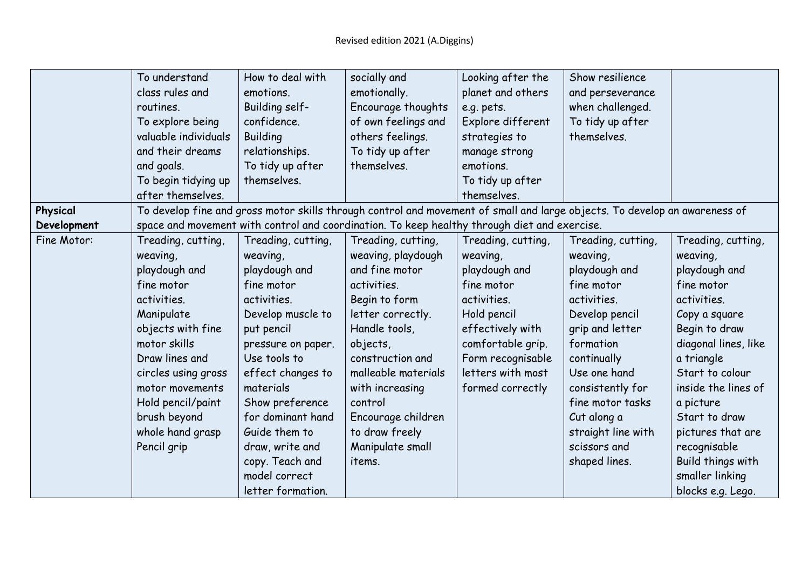|             | To understand        | How to deal with   | socially and                                                                                                               | Looking after the  | Show resilience    |                      |
|-------------|----------------------|--------------------|----------------------------------------------------------------------------------------------------------------------------|--------------------|--------------------|----------------------|
|             | class rules and      | emotions.          | emotionally.                                                                                                               | planet and others  | and perseverance   |                      |
|             | routines.            | Building self-     | Encourage thoughts                                                                                                         | e.g. pets.         | when challenged.   |                      |
|             | To explore being     | confidence.        | of own feelings and                                                                                                        | Explore different  | To tidy up after   |                      |
|             | valuable individuals | <b>Building</b>    | others feelings.                                                                                                           | strategies to      | themselves.        |                      |
|             | and their dreams     | relationships.     | To tidy up after                                                                                                           | manage strong      |                    |                      |
|             | and goals.           | To tidy up after   | themselves.                                                                                                                | emotions.          |                    |                      |
|             | To begin tidying up  | themselves.        |                                                                                                                            | To tidy up after   |                    |                      |
|             | after themselves.    |                    |                                                                                                                            | themselves.        |                    |                      |
| Physical    |                      |                    | To develop fine and gross motor skills through control and movement of small and large objects. To develop an awareness of |                    |                    |                      |
| Development |                      |                    | space and movement with control and coordination. To keep healthy through diet and exercise.                               |                    |                    |                      |
| Fine Motor: | Treading, cutting,   | Treading, cutting, | Treading, cutting,                                                                                                         | Treading, cutting, | Treading, cutting, | Treading, cutting,   |
|             | weaving,             | weaving,           | weaving, playdough                                                                                                         | weaving,           | weaving,           | weaving,             |
|             | playdough and        | playdough and      | and fine motor                                                                                                             | playdough and      | playdough and      | playdough and        |
|             | fine motor           | fine motor         | activities.                                                                                                                | fine motor         | fine motor         | fine motor           |
|             | activities.          | activities.        | Begin to form                                                                                                              | activities.        | activities.        | activities.          |
|             | Manipulate           | Develop muscle to  | letter correctly.                                                                                                          | Hold pencil        | Develop pencil     | Copy a square        |
|             | objects with fine    | put pencil         | Handle tools,                                                                                                              | effectively with   | grip and letter    | Begin to draw        |
|             | motor skills         | pressure on paper. | objects,                                                                                                                   | comfortable grip.  | formation          | diagonal lines, like |
|             | Draw lines and       | Use tools to       | construction and                                                                                                           | Form recognisable  | continually        | a triangle           |
|             | circles using gross  | effect changes to  | malleable materials                                                                                                        | letters with most  | Use one hand       | Start to colour      |
|             | motor movements      | materials          | with increasing                                                                                                            | formed correctly   | consistently for   | inside the lines of  |
|             | Hold pencil/paint    | Show preference    | control                                                                                                                    |                    | fine motor tasks   | a picture            |
|             | brush beyond         | for dominant hand  | Encourage children                                                                                                         |                    | Cut along a        | Start to draw        |
|             | whole hand grasp     | Guide them to      | to draw freely                                                                                                             |                    | straight line with | pictures that are    |
|             | Pencil grip          | draw, write and    | Manipulate small                                                                                                           |                    | scissors and       | recognisable         |
|             |                      | copy. Teach and    | items.                                                                                                                     |                    | shaped lines.      | Build things with    |
|             |                      | model correct      |                                                                                                                            |                    |                    | smaller linking      |
|             |                      | letter formation.  |                                                                                                                            |                    |                    | blocks e.g. Lego.    |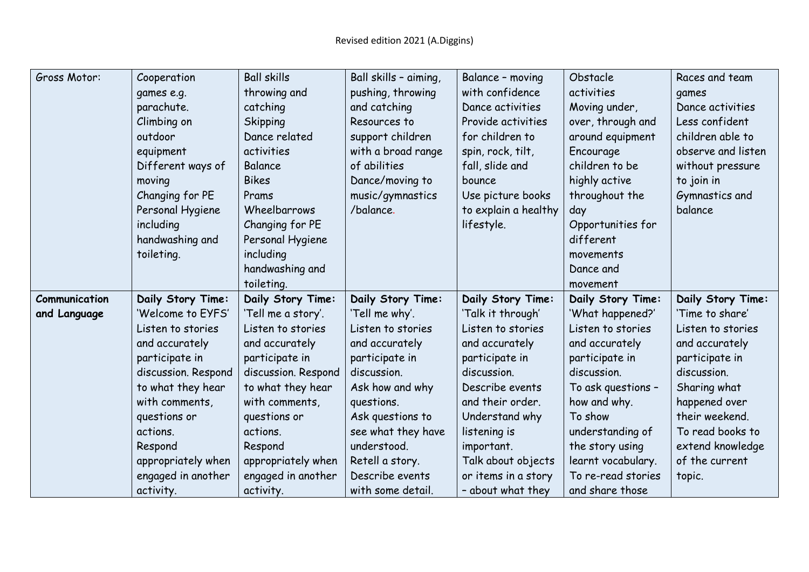| Gross Motor:  | Cooperation         | <b>Ball skills</b>  | Ball skills - aiming, | Balance - moving     | Obstacle           | Races and team     |
|---------------|---------------------|---------------------|-----------------------|----------------------|--------------------|--------------------|
|               | games e.g.          | throwing and        | pushing, throwing     | with confidence      | activities         | games              |
|               | parachute.          | catching            | and catching          | Dance activities     | Moving under,      | Dance activities   |
|               | Climbing on         | <b>Skipping</b>     | Resources to          | Provide activities   | over, through and  | Less confident     |
|               | outdoor             | Dance related       | support children      | for children to      | around equipment   | children able to   |
|               | equipment           | activities          | with a broad range    | spin, rock, tilt,    | Encourage          | observe and listen |
|               | Different ways of   | Balance             | of abilities          | fall, slide and      | children to be     | without pressure   |
|               | moving              | <b>Bikes</b>        | Dance/moving to       | bounce               | highly active      | to join in         |
|               | Changing for PE     | Prams               | music/gymnastics      | Use picture books    | throughout the     | Gymnastics and     |
|               | Personal Hygiene    | Wheelbarrows        | /balance.             | to explain a healthy | day                | balance            |
|               | including           | Changing for PE     |                       | lifestyle.           | Opportunities for  |                    |
|               | handwashing and     | Personal Hygiene    |                       |                      | different          |                    |
|               | toileting.          | including           |                       |                      | movements          |                    |
|               |                     | handwashing and     |                       |                      | Dance and          |                    |
|               |                     | toileting.          |                       |                      | movement           |                    |
| Communication | Daily Story Time:   | Daily Story Time:   | Daily Story Time:     | Daily Story Time:    | Daily Story Time:  | Daily Story Time:  |
| and Language  | 'Welcome to EYFS'   | 'Tell me a story'.  | 'Tell me why'.        | 'Talk it through'    | 'What happened?'   | 'Time to share'    |
|               | Listen to stories   | Listen to stories   | Listen to stories     | Listen to stories    | Listen to stories  | Listen to stories  |
|               | and accurately      | and accurately      | and accurately        | and accurately       | and accurately     | and accurately     |
|               | participate in      | participate in      | participate in        | participate in       | participate in     | participate in     |
|               | discussion. Respond | discussion. Respond | discussion.           | discussion.          | discussion.        | discussion.        |
|               | to what they hear   | to what they hear   | Ask how and why       | Describe events      | To ask questions - | Sharing what       |
|               | with comments,      | with comments,      | questions.            | and their order.     | how and why.       | happened over      |
|               | questions or        | questions or        | Ask questions to      | Understand why       | To show            | their weekend.     |
|               | actions.            | actions.            | see what they have    | listening is         | understanding of   | To read books to   |
|               | Respond             | Respond             | understood.           | important.           | the story using    | extend knowledge   |
|               | appropriately when  | appropriately when  | Retell a story.       | Talk about objects   | learnt vocabulary. | of the current     |
|               | engaged in another  | engaged in another  | Describe events       | or items in a story  | To re-read stories | topic.             |
|               | activity.           | activity.           | with some detail.     | - about what they    | and share those    |                    |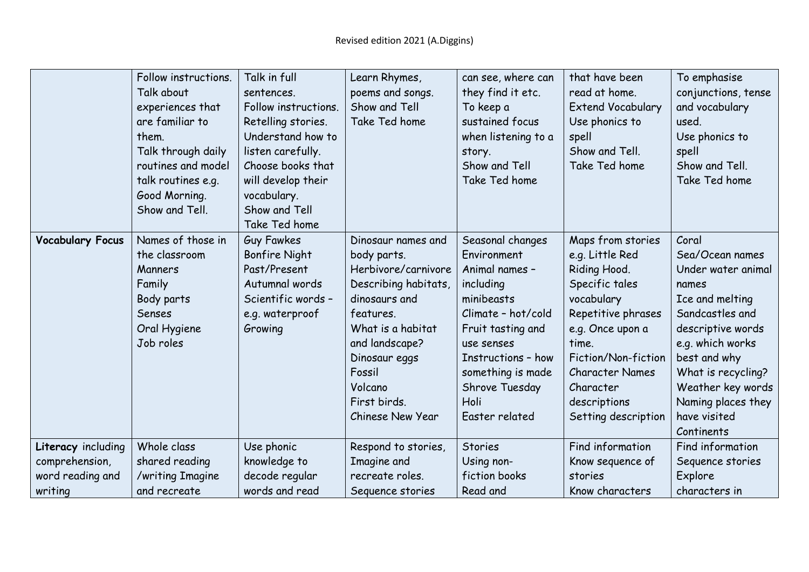|                                      | Follow instructions.<br>Talk about<br>experiences that<br>are familiar to<br>them.<br>Talk through daily<br>routines and model<br>talk routines e.g.<br>Good Morning.<br>Show and Tell. | Talk in full<br>sentences.<br>Follow instructions.<br>Retelling stories.<br>Understand how to<br>listen carefully.<br>Choose books that<br>will develop their<br>vocabulary.<br>Show and Tell<br>Take Ted home | Learn Rhymes,<br>poems and songs.<br>Show and Tell<br>Take Ted home                                                                                                                                                             | can see, where can<br>they find it etc.<br>To keep a<br>sustained focus<br>when listening to a<br>story.<br>Show and Tell<br>Take Ted home                                                                                   | that have been<br>read at home.<br><b>Extend Vocabulary</b><br>Use phonics to<br>spell<br>Show and Tell.<br>Take Ted home                                                                                                                    | To emphasise<br>conjunctions, tense<br>and vocabulary<br>used.<br>Use phonics to<br>spell<br>Show and Tell.<br>Take Ted home                                                                                                                          |
|--------------------------------------|-----------------------------------------------------------------------------------------------------------------------------------------------------------------------------------------|----------------------------------------------------------------------------------------------------------------------------------------------------------------------------------------------------------------|---------------------------------------------------------------------------------------------------------------------------------------------------------------------------------------------------------------------------------|------------------------------------------------------------------------------------------------------------------------------------------------------------------------------------------------------------------------------|----------------------------------------------------------------------------------------------------------------------------------------------------------------------------------------------------------------------------------------------|-------------------------------------------------------------------------------------------------------------------------------------------------------------------------------------------------------------------------------------------------------|
| <b>Vocabulary Focus</b>              | Names of those in<br>the classroom<br>Manners<br>Family<br>Body parts<br>Senses<br>Oral Hygiene<br>Job roles                                                                            | <b>Guy Fawkes</b><br><b>Bonfire Night</b><br>Past/Present<br>Autumnal words<br>Scientific words -<br>e.g. waterproof<br>Growing                                                                                | Dinosaur names and<br>body parts.<br>Herbivore/carnivore<br>Describing habitats,<br>dinosaurs and<br>features.<br>What is a habitat<br>and landscape?<br>Dinosaur eggs<br>Fossil<br>Volcano<br>First birds.<br>Chinese New Year | Seasonal changes<br>Environment<br>Animal names -<br>including<br>minibeasts<br>Climate - hot/cold<br>Fruit tasting and<br>use senses<br>Instructions - how<br>something is made<br>Shrove Tuesday<br>Holi<br>Easter related | Maps from stories<br>e.g. Little Red<br>Riding Hood.<br>Specific tales<br>vocabulary<br>Repetitive phrases<br>e.g. Once upon a<br>time.<br>Fiction/Non-fiction<br><b>Character Names</b><br>Character<br>descriptions<br>Setting description | Coral<br>Sea/Ocean names<br>Under water animal<br>names<br>Ice and melting<br>Sandcastles and<br>descriptive words<br>e.g. which works<br>best and why<br>What is recycling?<br>Weather key words<br>Naming places they<br>have visited<br>Continents |
| Literacy including<br>comprehension, | Whole class<br>shared reading                                                                                                                                                           | Use phonic<br>knowledge to                                                                                                                                                                                     | Respond to stories,<br>Imagine and                                                                                                                                                                                              | <b>Stories</b><br>Using non-                                                                                                                                                                                                 | Find information<br>Know sequence of                                                                                                                                                                                                         | Find information<br>Sequence stories                                                                                                                                                                                                                  |
| word reading and                     | /writing Imagine                                                                                                                                                                        | decode regular                                                                                                                                                                                                 | recreate roles.                                                                                                                                                                                                                 | fiction books                                                                                                                                                                                                                | stories                                                                                                                                                                                                                                      | Explore                                                                                                                                                                                                                                               |
| writing                              | and recreate                                                                                                                                                                            | words and read                                                                                                                                                                                                 | Sequence stories                                                                                                                                                                                                                | Read and                                                                                                                                                                                                                     | Know characters                                                                                                                                                                                                                              | characters in                                                                                                                                                                                                                                         |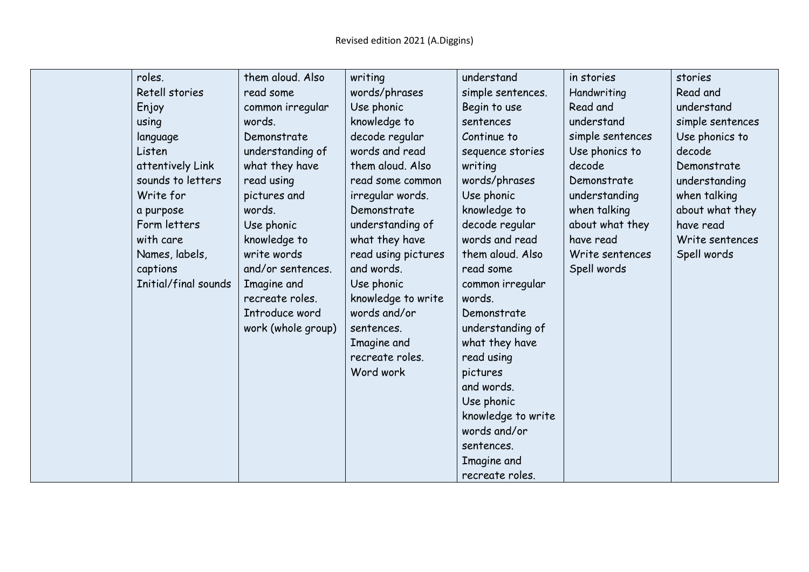| roles.            | them aloud. Also                    | writing             | understand         | in stories       | stories          |
|-------------------|-------------------------------------|---------------------|--------------------|------------------|------------------|
| Retell stories    | read some                           | words/phrases       | simple sentences.  | Handwriting      | Read and         |
| Enjoy             | common irregular                    | Use phonic          | Begin to use       | Read and         | understand       |
| using             | words.                              | knowledge to        | sentences          | understand       | simple sentences |
| language          | Demonstrate                         | decode regular      | Continue to        | simple sentences | Use phonics to   |
| Listen            | understanding of                    | words and read      | sequence stories   | Use phonics to   | decode           |
| attentively Link  | what they have                      | them aloud. Also    | writing            | decode           | Demonstrate      |
| sounds to letters | read using                          | read some common    | words/phrases      | Demonstrate      | understanding    |
| Write for         | pictures and                        | irregular words.    | Use phonic         | understanding    | when talking     |
| a purpose         | words.                              | Demonstrate         | knowledge to       | when talking     | about what they  |
| Form letters      | Use phonic                          | understanding of    | decode regular     | about what they  | have read        |
| with care         | knowledge to                        | what they have      | words and read     | have read        | Write sentences  |
| Names, labels,    | write words                         | read using pictures | them aloud. Also   | Write sentences  | Spell words      |
| captions          | and/or sentences.                   | and words.          | read some          | Spell words      |                  |
|                   | Initial/final sounds<br>Imagine and | Use phonic          | common irregular   |                  |                  |
|                   | recreate roles.                     | knowledge to write  | words.             |                  |                  |
|                   | Introduce word                      | words and/or        | Demonstrate        |                  |                  |
|                   | work (whole group)                  | sentences.          | understanding of   |                  |                  |
|                   |                                     | Imagine and         | what they have     |                  |                  |
|                   |                                     | recreate roles.     | read using         |                  |                  |
|                   |                                     | Word work           | pictures           |                  |                  |
|                   |                                     |                     | and words.         |                  |                  |
|                   |                                     |                     | Use phonic         |                  |                  |
|                   |                                     |                     | knowledge to write |                  |                  |
|                   |                                     |                     | words and/or       |                  |                  |
|                   |                                     |                     | sentences.         |                  |                  |
|                   |                                     |                     | Imagine and        |                  |                  |
|                   |                                     |                     | recreate roles.    |                  |                  |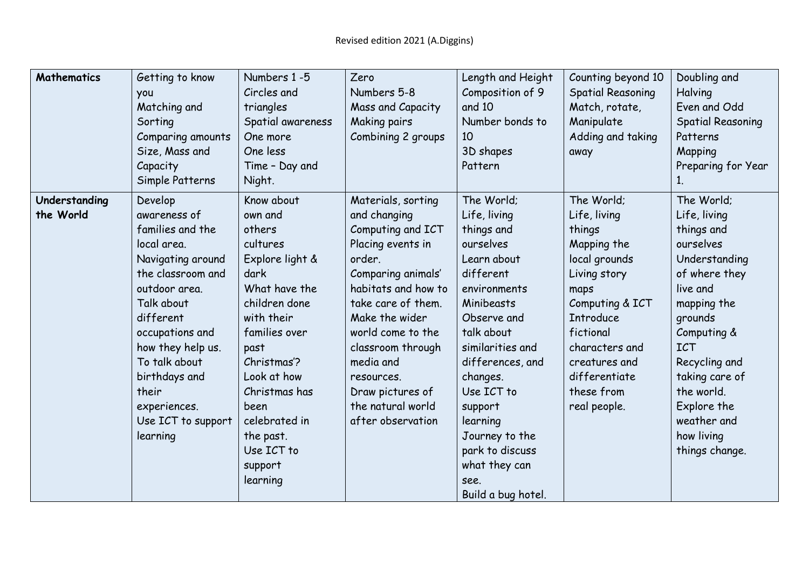| Mathematics   | Getting to know    | Numbers 1-5       | Zero                | Length and Height  | Counting beyond 10       | Doubling and             |
|---------------|--------------------|-------------------|---------------------|--------------------|--------------------------|--------------------------|
|               | you                | Circles and       | Numbers 5-8         | Composition of 9   | <b>Spatial Reasoning</b> | Halving                  |
|               | Matching and       | triangles         | Mass and Capacity   | and 10             | Match, rotate,           | Even and Odd             |
|               | Sorting            | Spatial awareness | <b>Making pairs</b> | Number bonds to    | Manipulate               | <b>Spatial Reasoning</b> |
|               | Comparing amounts  | One more          | Combining 2 groups  | 10                 | Adding and taking        | Patterns                 |
|               | Size, Mass and     | One less          |                     | 3D shapes          | away                     | Mapping                  |
|               | Capacity           | Time - Day and    |                     | Pattern            |                          | Preparing for Year       |
|               | Simple Patterns    | Night.            |                     |                    |                          |                          |
| Understanding | Develop            | Know about        | Materials, sorting  | The World;         | The World;               | The World;               |
| the World     | awareness of       | own and           | and changing        | Life, living       | Life, living             | Life, living             |
|               | families and the   | others            | Computing and ICT   | things and         | things                   | things and               |
|               | local area.        | cultures          | Placing events in   | ourselves          | Mapping the              | ourselves                |
|               | Navigating around  | Explore light &   | order.              | Learn about        | local grounds            | Understanding            |
|               | the classroom and  | dark              | Comparing animals'  | different          | Living story             | of where they            |
|               | outdoor area.      | What have the     | habitats and how to | environments       | maps                     | live and                 |
|               | Talk about         | children done     | take care of them.  | Minibeasts         | Computing & ICT          | mapping the              |
|               | different          | with their        | Make the wider      | Observe and        | <b>Introduce</b>         | grounds                  |
|               | occupations and    | families over     | world come to the   | talk about         | fictional                | Computing &              |
|               | how they help us.  | past              | classroom through   | similarities and   | characters and           | <b>ICT</b>               |
|               | To talk about      | Christmas'?       | media and           | differences, and   | creatures and            | Recycling and            |
|               | birthdays and      | Look at how       | resources.          | changes.           | differentiate            | taking care of           |
|               | their              | Christmas has     | Draw pictures of    | Use ICT to         | these from               | the world.               |
|               | experiences.       | been              | the natural world   | support            | real people.             | Explore the              |
|               | Use ICT to support | celebrated in     | after observation   | learning           |                          | weather and              |
|               | learning           | the past.         |                     | Journey to the     |                          | how living               |
|               |                    | Use ICT to        |                     | park to discuss    |                          | things change.           |
|               |                    | support           |                     | what they can      |                          |                          |
|               |                    | learning          |                     | see.               |                          |                          |
|               |                    |                   |                     | Build a bug hotel. |                          |                          |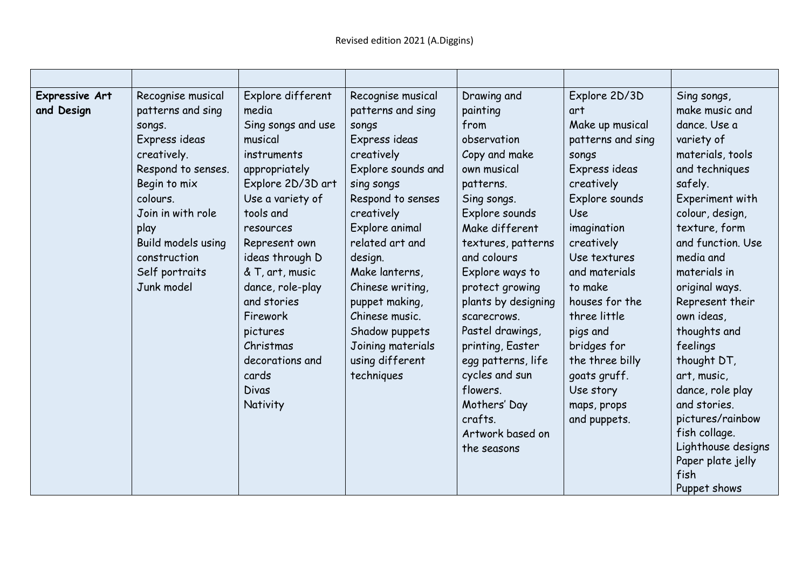| Expressive Art<br>and Design | Recognise musical<br>patterns and sing<br>songs.<br>Express ideas<br>creatively.<br>Respond to senses.<br>Begin to mix<br>colours.<br>Join in with role<br>play<br>Build models using<br>construction<br>Self portraits<br>Junk model | Explore different<br>media<br>Sing songs and use<br>musical<br>instruments<br>appropriately<br>Explore 2D/3D art<br>Use a variety of<br>tools and<br>resources<br>Represent own<br>ideas through D<br>& T, art, music<br>dance, role-play<br>and stories<br>Firework<br>pictures<br>Christmas<br>decorations and<br>cards<br><b>Divas</b><br>Nativity | Recognise musical<br>patterns and sing<br>songs<br>Express ideas<br>creatively<br>Explore sounds and<br>sing songs<br>Respond to senses<br>creatively<br>Explore animal<br>related art and<br>design.<br>Make lanterns,<br>Chinese writing,<br>puppet making,<br>Chinese music.<br>Shadow puppets<br>Joining materials<br>using different<br>techniques | Drawing and<br>painting<br>from<br>observation<br>Copy and make<br>own musical<br>patterns.<br>Sing songs.<br>Explore sounds<br>Make different<br>textures, patterns<br>and colours<br>Explore ways to<br>protect growing<br>plants by designing<br>scarecrows.<br>Pastel drawings,<br>printing, Easter<br>egg patterns, life<br>cycles and sun<br>flowers.<br>Mothers' Day<br>crafts.<br>Artwork based on<br>the seasons | Explore 2D/3D<br>art<br>Make up musical<br>patterns and sing<br>songs<br>Express ideas<br>creatively<br>Explore sounds<br><b>Use</b><br>imagination<br>creatively<br>Use textures<br>and materials<br>to make<br>houses for the<br>three little<br>pigs and<br>bridges for<br>the three billy<br>goats gruff.<br>Use story<br>maps, props<br>and puppets. | Sing songs,<br>make music and<br>dance. Use a<br>variety of<br>materials, tools<br>and techniques<br>safely.<br>Experiment with<br>colour, design,<br>texture, form<br>and function. Use<br>media and<br>materials in<br>original ways.<br>Represent their<br>own ideas,<br>thoughts and<br>feelings<br>thought DT,<br>art, music,<br>dance, role play<br>and stories.<br>pictures/rainbow<br>fish collage.<br>Lighthouse designs<br>Paper plate jelly<br>fish<br>Puppet shows |
|------------------------------|---------------------------------------------------------------------------------------------------------------------------------------------------------------------------------------------------------------------------------------|-------------------------------------------------------------------------------------------------------------------------------------------------------------------------------------------------------------------------------------------------------------------------------------------------------------------------------------------------------|---------------------------------------------------------------------------------------------------------------------------------------------------------------------------------------------------------------------------------------------------------------------------------------------------------------------------------------------------------|---------------------------------------------------------------------------------------------------------------------------------------------------------------------------------------------------------------------------------------------------------------------------------------------------------------------------------------------------------------------------------------------------------------------------|-----------------------------------------------------------------------------------------------------------------------------------------------------------------------------------------------------------------------------------------------------------------------------------------------------------------------------------------------------------|--------------------------------------------------------------------------------------------------------------------------------------------------------------------------------------------------------------------------------------------------------------------------------------------------------------------------------------------------------------------------------------------------------------------------------------------------------------------------------|